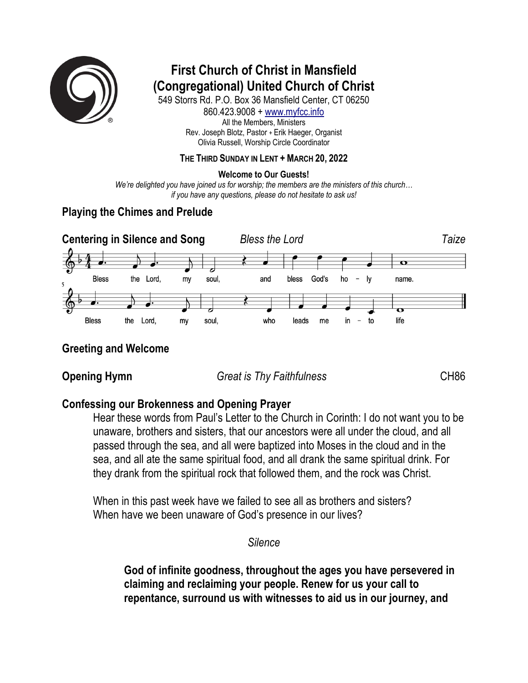

# **First Church of Christ in Mansfield (Congregational) United Church of Christ**

549 Storrs Rd. P.O. Box 36 Mansfield Center, CT 06250 860.423.9008 + www.myfcc.info All the Members, Ministers Rev. Joseph Blotz, Pastor + Erik Haeger, Organist Olivia Russell, Worship Circle Coordinator

#### **THE THIRD SUNDAY IN LENT + MARCH 20, 2022**

#### **Welcome to Our Guests!**

*We're delighted you have joined us for worship; the members are the ministers of this church… if you have any questions, please do not hesitate to ask us!*

### **Playing the Chimes and Prelude**



#### **Greeting and Welcome**

**Opening Hymn** *Great is Thy Faithfulness* **CH86** 

#### **Confessing our Brokenness and Opening Prayer**

Hear these words from Paul's Letter to the Church in Corinth: I do not want you to be unaware, brothers and sisters, that our ancestors were all under the cloud, and all passed through the sea, and all were baptized into Moses in the cloud and in the sea, and all ate the same spiritual food, and all drank the same spiritual drink. For they drank from the spiritual rock that followed them, and the rock was Christ.

When in this past week have we failed to see all as brothers and sisters? When have we been unaware of God's presence in our lives?

*Silence*

**God of infinite goodness, throughout the ages you have persevered in claiming and reclaiming your people. Renew for us your call to repentance, surround us with witnesses to aid us in our journey, and**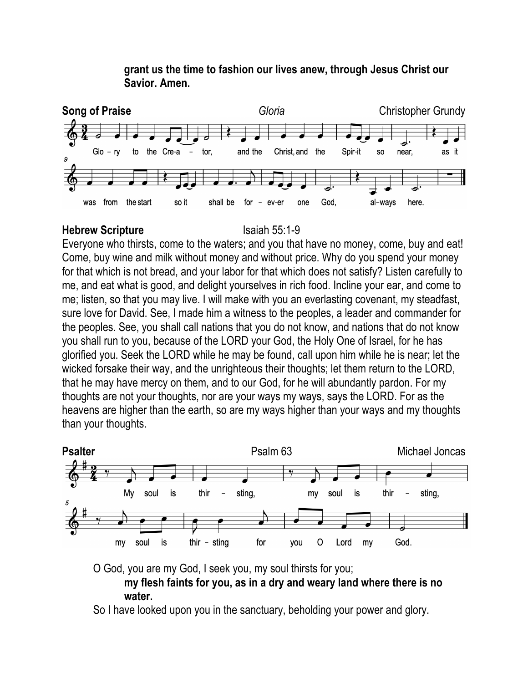#### **grant us the time to fashion our lives anew, through Jesus Christ our Savior. Amen.**



#### **Hebrew Scripture Isaiah 55:1-9**

Everyone who thirsts, come to the waters; and you that have no money, come, buy and eat! Come, buy wine and milk without money and without price. Why do you spend your money for that which is not bread, and your labor for that which does not satisfy? Listen carefully to me, and eat what is good, and delight yourselves in rich food. Incline your ear, and come to me; listen, so that you may live. I will make with you an everlasting covenant, my steadfast, sure love for David. See, I made him a witness to the peoples, a leader and commander for the peoples. See, you shall call nations that you do not know, and nations that do not know you shall run to you, because of the LORD your God, the Holy One of Israel, for he has glorified you. Seek the LORD while he may be found, call upon him while he is near; let the wicked forsake their way, and the unrighteous their thoughts; let them return to the LORD, that he may have mercy on them, and to our God, for he will abundantly pardon. For my thoughts are not your thoughts, nor are your ways my ways, says the LORD. For as the heavens are higher than the earth, so are my ways higher than your ways and my thoughts than your thoughts.



O God, you are my God, I seek you, my soul thirsts for you;

**my flesh faints for you, as in a dry and weary land where there is no water.** 

So I have looked upon you in the sanctuary, beholding your power and glory.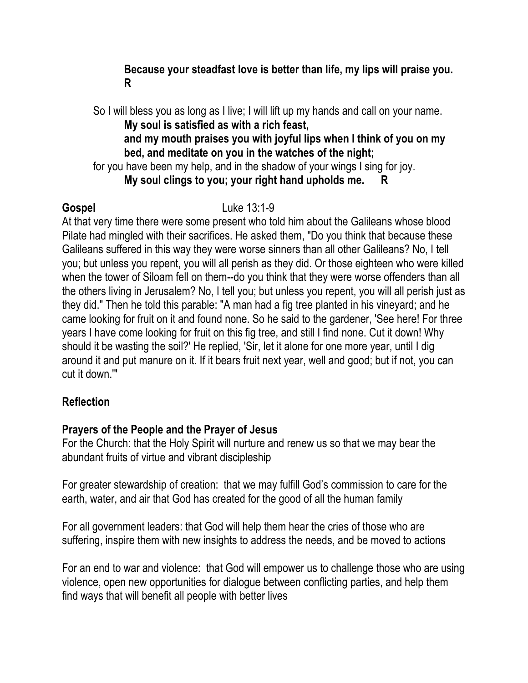### **Because your steadfast love is better than life, my lips will praise you. R**

So I will bless you as long as I live; I will lift up my hands and call on your name. **My soul is satisfied as with a rich feast, and my mouth praises you with joyful lips when I think of you on my bed, and meditate on you in the watches of the night;**  for you have been my help, and in the shadow of your wings I sing for joy. **My soul clings to you; your right hand upholds me. R**

**Gospel** Luke 13:1-9

At that very time there were some present who told him about the Galileans whose blood Pilate had mingled with their sacrifices. He asked them, "Do you think that because these Galileans suffered in this way they were worse sinners than all other Galileans? No, I tell you; but unless you repent, you will all perish as they did. Or those eighteen who were killed when the tower of Siloam fell on them--do you think that they were worse offenders than all the others living in Jerusalem? No, I tell you; but unless you repent, you will all perish just as they did." Then he told this parable: "A man had a fig tree planted in his vineyard; and he came looking for fruit on it and found none. So he said to the gardener, 'See here! For three years I have come looking for fruit on this fig tree, and still I find none. Cut it down! Why should it be wasting the soil?' He replied, 'Sir, let it alone for one more year, until I dig around it and put manure on it. If it bears fruit next year, well and good; but if not, you can cut it down.'"

# **Reflection**

## **Prayers of the People and the Prayer of Jesus**

For the Church: that the Holy Spirit will nurture and renew us so that we may bear the abundant fruits of virtue and vibrant discipleship

For greater stewardship of creation: that we may fulfill God's commission to care for the earth, water, and air that God has created for the good of all the human family

For all government leaders: that God will help them hear the cries of those who are suffering, inspire them with new insights to address the needs, and be moved to actions

For an end to war and violence: that God will empower us to challenge those who are using violence, open new opportunities for dialogue between conflicting parties, and help them find ways that will benefit all people with better lives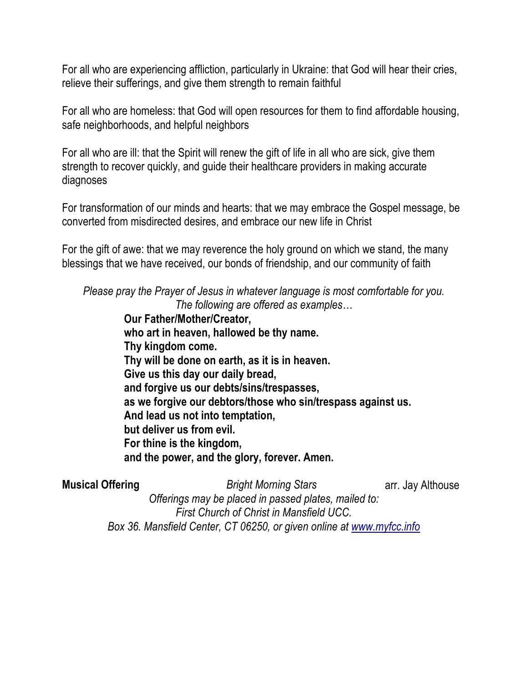For all who are experiencing affliction, particularly in Ukraine: that God will hear their cries, relieve their sufferings, and give them strength to remain faithful

For all who are homeless: that God will open resources for them to find affordable housing, safe neighborhoods, and helpful neighbors

For all who are ill: that the Spirit will renew the gift of life in all who are sick, give them strength to recover quickly, and guide their healthcare providers in making accurate diagnoses

For transformation of our minds and hearts: that we may embrace the Gospel message, be converted from misdirected desires, and embrace our new life in Christ

For the gift of awe: that we may reverence the holy ground on which we stand, the many blessings that we have received, our bonds of friendship, and our community of faith

*Please pray the Prayer of Jesus in whatever language is most comfortable for you. The following are offered as examples…*

> **Our Father/Mother/Creator, who art in heaven, hallowed be thy name. Thy kingdom come. Thy will be done on earth, as it is in heaven. Give us this day our daily bread, and forgive us our debts/sins/trespasses, as we forgive our debtors/those who sin/trespass against us. And lead us not into temptation, but deliver us from evil. For thine is the kingdom, and the power, and the glory, forever. Amen.**

**Musical Offering** *Bright Morning Stars* arr. Jay Althouse *Offerings may be placed in passed plates, mailed to: First Church of Christ in Mansfield UCC. Box 36. Mansfield Center, CT 06250, or given online at www.myfcc.info*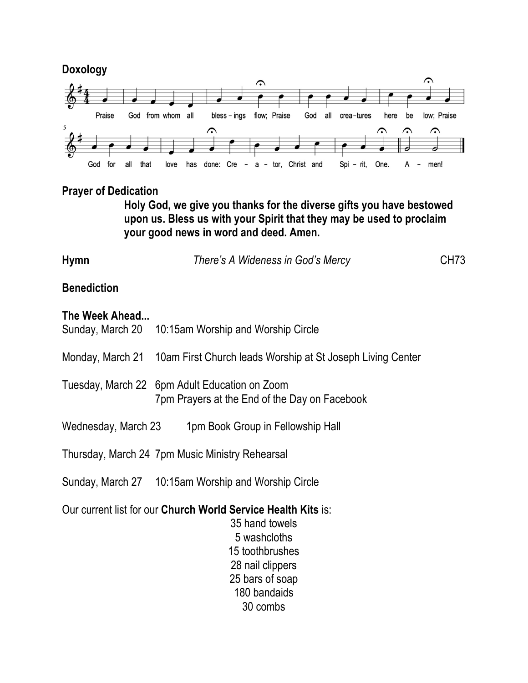

### **Prayer of Dedication**

**Holy God, we give you thanks for the diverse gifts you have bestowed upon us. Bless us with your Spirit that they may be used to proclaim your good news in word and deed. Amen.**

**Hymn** *There's A Wideness in God's Mercy* CH73

### **Benediction**

#### **The Week Ahead...**

- Sunday, March 20 10:15am Worship and Worship Circle
- Monday, March 21 10am First Church leads Worship at St Joseph Living Center
- Tuesday, March 22 6pm Adult Education on Zoom 7pm Prayers at the End of the Day on Facebook
- Wednesday, March 23 1pm Book Group in Fellowship Hall
- Thursday, March 24 7pm Music Ministry Rehearsal
- Sunday, March 27 10:15am Worship and Worship Circle

Our current list for our **Church World Service Health Kits** is:

35 hand towels 5 washcloths 15 toothbrushes 28 nail clippers 25 bars of soap 180 bandaids 30 combs